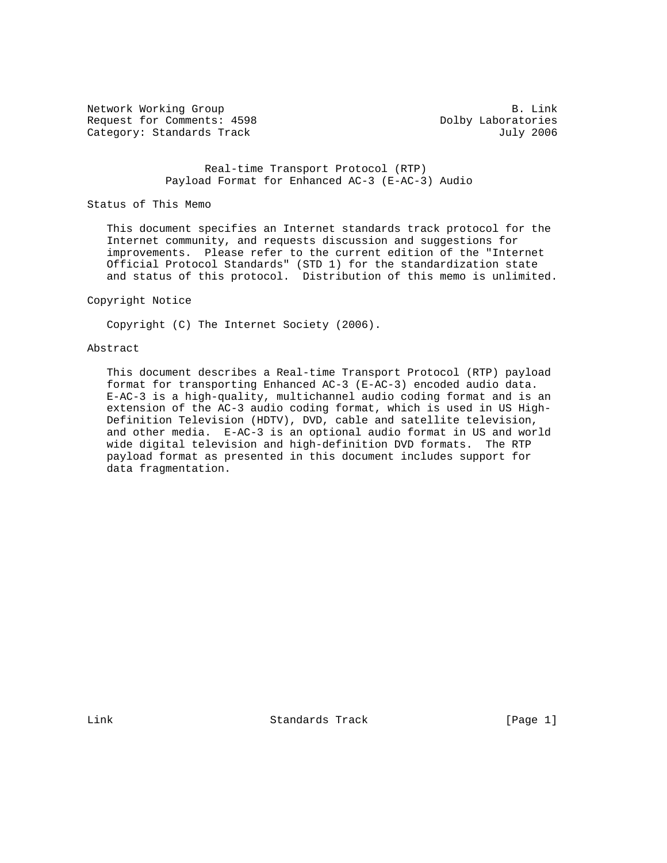Network Working Group B. Link Request for Comments: 4598 Dolby Laboratories Category: Standards Track July 2006

 Real-time Transport Protocol (RTP) Payload Format for Enhanced AC-3 (E-AC-3) Audio

Status of This Memo

 This document specifies an Internet standards track protocol for the Internet community, and requests discussion and suggestions for improvements. Please refer to the current edition of the "Internet Official Protocol Standards" (STD 1) for the standardization state and status of this protocol. Distribution of this memo is unlimited.

### Copyright Notice

Copyright (C) The Internet Society (2006).

#### Abstract

 This document describes a Real-time Transport Protocol (RTP) payload format for transporting Enhanced AC-3 (E-AC-3) encoded audio data. E-AC-3 is a high-quality, multichannel audio coding format and is an extension of the AC-3 audio coding format, which is used in US High- Definition Television (HDTV), DVD, cable and satellite television, and other media. E-AC-3 is an optional audio format in US and world wide digital television and high-definition DVD formats. The RTP payload format as presented in this document includes support for data fragmentation.

Link Standards Track [Page 1]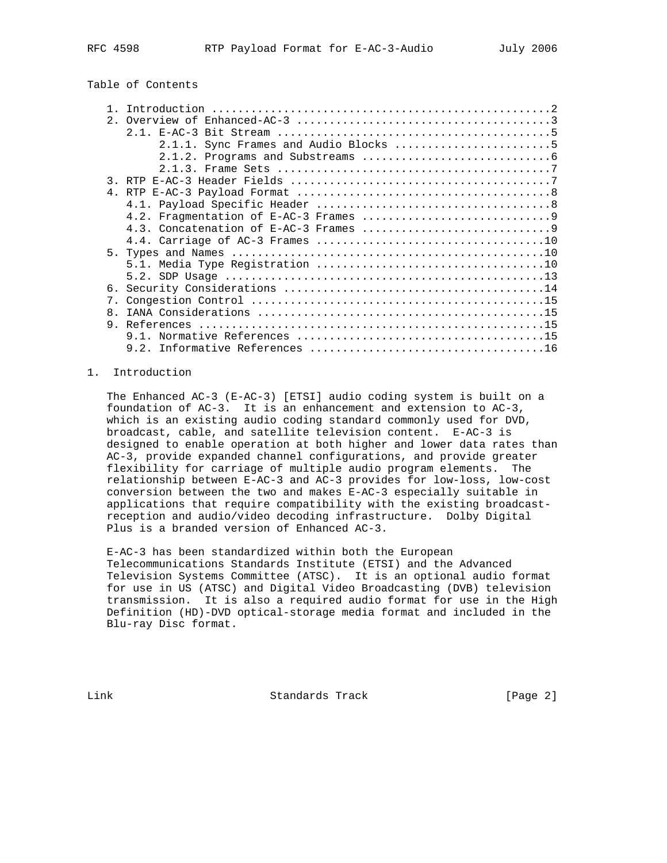# Table of Contents

|    | 2.1.1. Sync Frames and Audio Blocks 5 |
|----|---------------------------------------|
|    |                                       |
|    |                                       |
|    |                                       |
|    |                                       |
|    |                                       |
|    |                                       |
|    |                                       |
|    |                                       |
|    |                                       |
|    |                                       |
|    |                                       |
|    |                                       |
| 7. |                                       |
| 8. |                                       |
|    |                                       |
|    |                                       |
|    |                                       |

## 1. Introduction

 The Enhanced AC-3 (E-AC-3) [ETSI] audio coding system is built on a foundation of AC-3. It is an enhancement and extension to AC-3, which is an existing audio coding standard commonly used for DVD, broadcast, cable, and satellite television content. E-AC-3 is designed to enable operation at both higher and lower data rates than AC-3, provide expanded channel configurations, and provide greater flexibility for carriage of multiple audio program elements. The relationship between E-AC-3 and AC-3 provides for low-loss, low-cost conversion between the two and makes E-AC-3 especially suitable in applications that require compatibility with the existing broadcast reception and audio/video decoding infrastructure. Dolby Digital Plus is a branded version of Enhanced AC-3.

 E-AC-3 has been standardized within both the European Telecommunications Standards Institute (ETSI) and the Advanced Television Systems Committee (ATSC). It is an optional audio format for use in US (ATSC) and Digital Video Broadcasting (DVB) television transmission. It is also a required audio format for use in the High Definition (HD)-DVD optical-storage media format and included in the Blu-ray Disc format.

Link Standards Track [Page 2]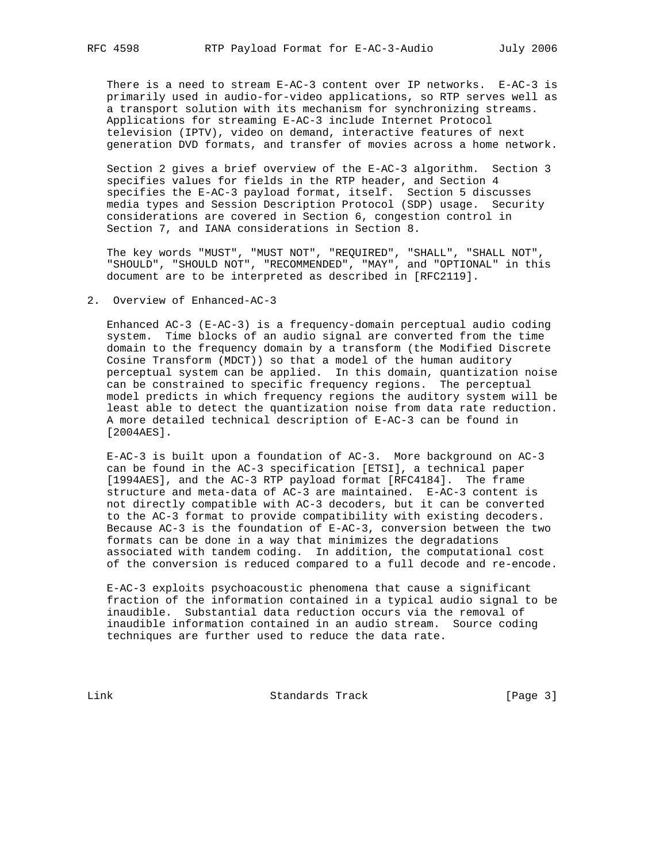There is a need to stream E-AC-3 content over IP networks. E-AC-3 is primarily used in audio-for-video applications, so RTP serves well as a transport solution with its mechanism for synchronizing streams. Applications for streaming E-AC-3 include Internet Protocol television (IPTV), video on demand, interactive features of next generation DVD formats, and transfer of movies across a home network.

 Section 2 gives a brief overview of the E-AC-3 algorithm. Section 3 specifies values for fields in the RTP header, and Section 4 specifies the E-AC-3 payload format, itself. Section 5 discusses media types and Session Description Protocol (SDP) usage. Security considerations are covered in Section 6, congestion control in Section 7, and IANA considerations in Section 8.

 The key words "MUST", "MUST NOT", "REQUIRED", "SHALL", "SHALL NOT", "SHOULD", "SHOULD NOT", "RECOMMENDED", "MAY", and "OPTIONAL" in this document are to be interpreted as described in [RFC2119].

#### 2. Overview of Enhanced-AC-3

 Enhanced AC-3 (E-AC-3) is a frequency-domain perceptual audio coding system. Time blocks of an audio signal are converted from the time domain to the frequency domain by a transform (the Modified Discrete Cosine Transform (MDCT)) so that a model of the human auditory perceptual system can be applied. In this domain, quantization noise can be constrained to specific frequency regions. The perceptual model predicts in which frequency regions the auditory system will be least able to detect the quantization noise from data rate reduction. A more detailed technical description of E-AC-3 can be found in [2004AES].

 E-AC-3 is built upon a foundation of AC-3. More background on AC-3 can be found in the AC-3 specification [ETSI], a technical paper [1994AES], and the AC-3 RTP payload format [RFC4184]. The frame structure and meta-data of AC-3 are maintained. E-AC-3 content is not directly compatible with AC-3 decoders, but it can be converted to the AC-3 format to provide compatibility with existing decoders. Because AC-3 is the foundation of E-AC-3, conversion between the two formats can be done in a way that minimizes the degradations associated with tandem coding. In addition, the computational cost of the conversion is reduced compared to a full decode and re-encode.

 E-AC-3 exploits psychoacoustic phenomena that cause a significant fraction of the information contained in a typical audio signal to be inaudible. Substantial data reduction occurs via the removal of inaudible information contained in an audio stream. Source coding techniques are further used to reduce the data rate.

Link Standards Track [Page 3]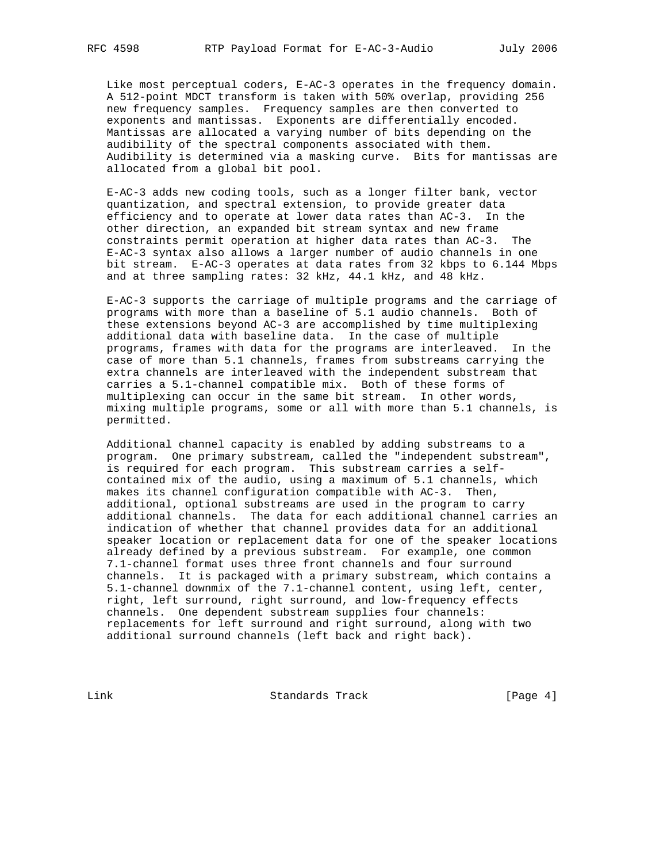Like most perceptual coders, E-AC-3 operates in the frequency domain. A 512-point MDCT transform is taken with 50% overlap, providing 256 new frequency samples. Frequency samples are then converted to exponents and mantissas. Exponents are differentially encoded. Mantissas are allocated a varying number of bits depending on the audibility of the spectral components associated with them. Audibility is determined via a masking curve. Bits for mantissas are allocated from a global bit pool.

 E-AC-3 adds new coding tools, such as a longer filter bank, vector quantization, and spectral extension, to provide greater data efficiency and to operate at lower data rates than AC-3. In the other direction, an expanded bit stream syntax and new frame constraints permit operation at higher data rates than AC-3. The E-AC-3 syntax also allows a larger number of audio channels in one bit stream. E-AC-3 operates at data rates from 32 kbps to 6.144 Mbps and at three sampling rates: 32 kHz, 44.1 kHz, and 48 kHz.

 E-AC-3 supports the carriage of multiple programs and the carriage of programs with more than a baseline of 5.1 audio channels. Both of these extensions beyond AC-3 are accomplished by time multiplexing additional data with baseline data. In the case of multiple programs, frames with data for the programs are interleaved. In the case of more than 5.1 channels, frames from substreams carrying the extra channels are interleaved with the independent substream that carries a 5.1-channel compatible mix. Both of these forms of multiplexing can occur in the same bit stream. In other words, mixing multiple programs, some or all with more than 5.1 channels, is permitted.

 Additional channel capacity is enabled by adding substreams to a program. One primary substream, called the "independent substream", is required for each program. This substream carries a self contained mix of the audio, using a maximum of 5.1 channels, which makes its channel configuration compatible with AC-3. Then, additional, optional substreams are used in the program to carry additional channels. The data for each additional channel carries an indication of whether that channel provides data for an additional speaker location or replacement data for one of the speaker locations already defined by a previous substream. For example, one common 7.1-channel format uses three front channels and four surround channels. It is packaged with a primary substream, which contains a 5.1-channel downmix of the 7.1-channel content, using left, center, right, left surround, right surround, and low-frequency effects channels. One dependent substream supplies four channels: replacements for left surround and right surround, along with two additional surround channels (left back and right back).

Link Standards Track [Page 4]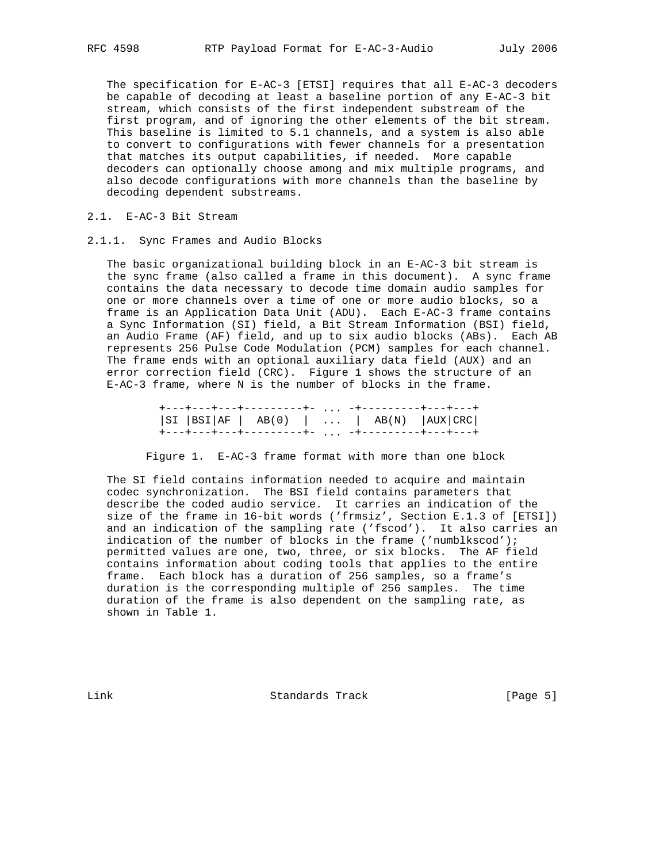The specification for E-AC-3 [ETSI] requires that all E-AC-3 decoders be capable of decoding at least a baseline portion of any E-AC-3 bit stream, which consists of the first independent substream of the first program, and of ignoring the other elements of the bit stream. This baseline is limited to 5.1 channels, and a system is also able to convert to configurations with fewer channels for a presentation that matches its output capabilities, if needed. More capable decoders can optionally choose among and mix multiple programs, and also decode configurations with more channels than the baseline by decoding dependent substreams.

#### 2.1. E-AC-3 Bit Stream

2.1.1. Sync Frames and Audio Blocks

 The basic organizational building block in an E-AC-3 bit stream is the sync frame (also called a frame in this document). A sync frame contains the data necessary to decode time domain audio samples for one or more channels over a time of one or more audio blocks, so a frame is an Application Data Unit (ADU). Each E-AC-3 frame contains a Sync Information (SI) field, a Bit Stream Information (BSI) field, an Audio Frame (AF) field, and up to six audio blocks (ABs). Each AB represents 256 Pulse Code Modulation (PCM) samples for each channel. The frame ends with an optional auxiliary data field (AUX) and an error correction field (CRC). Figure 1 shows the structure of an E-AC-3 frame, where N is the number of blocks in the frame.

 +---+---+---+---------+- ... -+---------+---+---+ |SI |BSI|AF | AB(0) | ... | AB(N) |AUX|CRC| +---+---+---+---------+- ... -+---------+---+---+

Figure 1. E-AC-3 frame format with more than one block

 The SI field contains information needed to acquire and maintain codec synchronization. The BSI field contains parameters that describe the coded audio service. It carries an indication of the size of the frame in 16-bit words ('frmsiz', Section E.1.3 of [ETSI]) and an indication of the sampling rate ('fscod'). It also carries an indication of the number of blocks in the frame ('numblkscod'); permitted values are one, two, three, or six blocks. The AF field contains information about coding tools that applies to the entire frame. Each block has a duration of 256 samples, so a frame's duration is the corresponding multiple of 256 samples. The time duration of the frame is also dependent on the sampling rate, as shown in Table 1.

Link Standards Track [Page 5]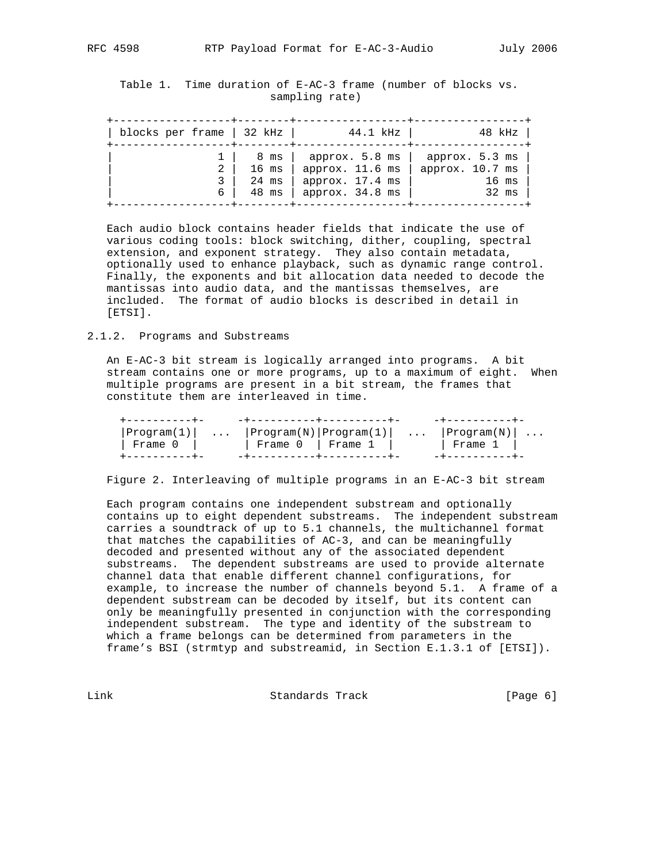Table 1. Time duration of E-AC-3 frame (number of blocks vs. sampling rate)

| blocks per frame   32 kHz |       | 44.1 kHz        | 48 kHz          |
|---------------------------|-------|-----------------|-----------------|
| 6                         | 8 ms  | approx. 5.8 ms  | approx. 5.3 ms  |
|                           | 16 ms | approx. 11.6 ms | approx. 10.7 ms |
|                           | 24 ms | approx. 17.4 ms | $16$ ms         |
|                           | 48 ms | approx. 34.8 ms | 32 ms           |

 Each audio block contains header fields that indicate the use of various coding tools: block switching, dither, coupling, spectral extension, and exponent strategy. They also contain metadata, optionally used to enhance playback, such as dynamic range control. Finally, the exponents and bit allocation data needed to decode the mantissas into audio data, and the mantissas themselves, are included. The format of audio blocks is described in detail in [ETSI].

#### 2.1.2. Programs and Substreams

 An E-AC-3 bit stream is logically arranged into programs. A bit stream contains one or more programs, up to a maximum of eight. When multiple programs are present in a bit stream, the frames that constitute them are interleaved in time.

| +----------+- | ___________________________ | -+----------+                                           |
|---------------|-----------------------------|---------------------------------------------------------|
|               |                             | $ Program(1) $ $ Program(N) Program(1) $ $ Program(N) $ |
| Frame O I     | Frame 0   Frame 1           | Frame 1                                                 |
|               | -+----------+----------+    |                                                         |

Figure 2. Interleaving of multiple programs in an E-AC-3 bit stream

 Each program contains one independent substream and optionally contains up to eight dependent substreams. The independent substream carries a soundtrack of up to 5.1 channels, the multichannel format that matches the capabilities of AC-3, and can be meaningfully decoded and presented without any of the associated dependent substreams. The dependent substreams are used to provide alternate channel data that enable different channel configurations, for example, to increase the number of channels beyond 5.1. A frame of a dependent substream can be decoded by itself, but its content can only be meaningfully presented in conjunction with the corresponding independent substream. The type and identity of the substream to which a frame belongs can be determined from parameters in the frame's BSI (strmtyp and substreamid, in Section E.1.3.1 of [ETSI]).

Link **Standards Track** [Page 6]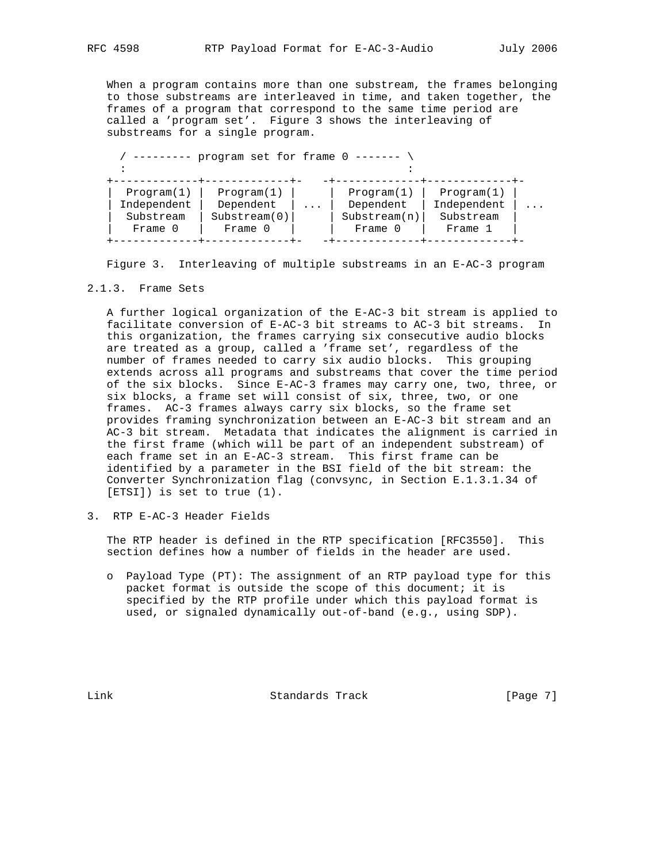When a program contains more than one substream, the frames belonging to those substreams are interleaved in time, and taken together, the

 frames of a program that correspond to the same time period are called a 'program set'. Figure 3 shows the interleaving of substreams for a single program.

|             | program set for frame 0 |                         |              |             |
|-------------|-------------------------|-------------------------|--------------|-------------|
| Program(1)  | Program(1)              | $\cdot$ $\cdot$ $\cdot$ | Program(1)   | Program(1)  |
| Independent | Dependent               |                         | Dependent    | Independent |
| Substream   | Substream(0)            |                         | Substream(n) | Substream   |
| Frame 0     | Frame 0                 |                         | Frame 0      | Frame 1     |

Figure 3. Interleaving of multiple substreams in an E-AC-3 program

### 2.1.3. Frame Sets

 A further logical organization of the E-AC-3 bit stream is applied to facilitate conversion of E-AC-3 bit streams to AC-3 bit streams. In this organization, the frames carrying six consecutive audio blocks are treated as a group, called a 'frame set', regardless of the number of frames needed to carry six audio blocks. This grouping extends across all programs and substreams that cover the time period of the six blocks. Since E-AC-3 frames may carry one, two, three, or six blocks, a frame set will consist of six, three, two, or one frames. AC-3 frames always carry six blocks, so the frame set provides framing synchronization between an E-AC-3 bit stream and an AC-3 bit stream. Metadata that indicates the alignment is carried in the first frame (which will be part of an independent substream) of each frame set in an E-AC-3 stream. This first frame can be identified by a parameter in the BSI field of the bit stream: the Converter Synchronization flag (convsync, in Section E.1.3.1.34 of [ETSI]) is set to true (1).

3. RTP E-AC-3 Header Fields

 The RTP header is defined in the RTP specification [RFC3550]. This section defines how a number of fields in the header are used.

 o Payload Type (PT): The assignment of an RTP payload type for this packet format is outside the scope of this document; it is specified by the RTP profile under which this payload format is used, or signaled dynamically out-of-band (e.g., using SDP).

Link Standards Track [Page 7]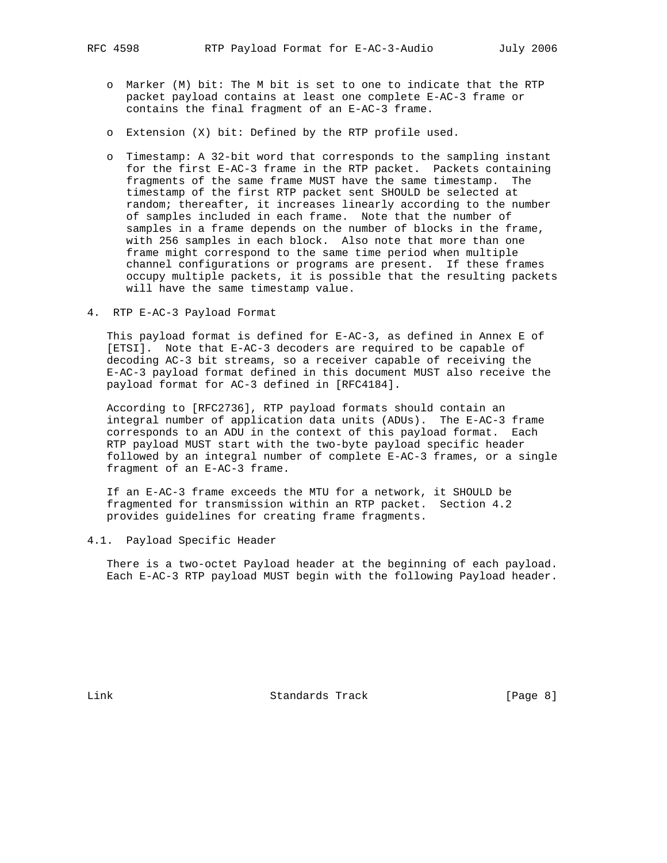- o Marker (M) bit: The M bit is set to one to indicate that the RTP packet payload contains at least one complete E-AC-3 frame or contains the final fragment of an E-AC-3 frame.
- o Extension (X) bit: Defined by the RTP profile used.
- o Timestamp: A 32-bit word that corresponds to the sampling instant for the first E-AC-3 frame in the RTP packet. Packets containing fragments of the same frame MUST have the same timestamp. The timestamp of the first RTP packet sent SHOULD be selected at random; thereafter, it increases linearly according to the number of samples included in each frame. Note that the number of samples in a frame depends on the number of blocks in the frame, with 256 samples in each block. Also note that more than one frame might correspond to the same time period when multiple channel configurations or programs are present. If these frames occupy multiple packets, it is possible that the resulting packets will have the same timestamp value.
- 4. RTP E-AC-3 Payload Format

 This payload format is defined for E-AC-3, as defined in Annex E of [ETSI]. Note that E-AC-3 decoders are required to be capable of decoding AC-3 bit streams, so a receiver capable of receiving the E-AC-3 payload format defined in this document MUST also receive the payload format for AC-3 defined in [RFC4184].

 According to [RFC2736], RTP payload formats should contain an integral number of application data units (ADUs). The E-AC-3 frame corresponds to an ADU in the context of this payload format. Each RTP payload MUST start with the two-byte payload specific header followed by an integral number of complete E-AC-3 frames, or a single fragment of an E-AC-3 frame.

 If an E-AC-3 frame exceeds the MTU for a network, it SHOULD be fragmented for transmission within an RTP packet. Section 4.2 provides guidelines for creating frame fragments.

4.1. Payload Specific Header

 There is a two-octet Payload header at the beginning of each payload. Each E-AC-3 RTP payload MUST begin with the following Payload header.

Link Standards Track [Page 8]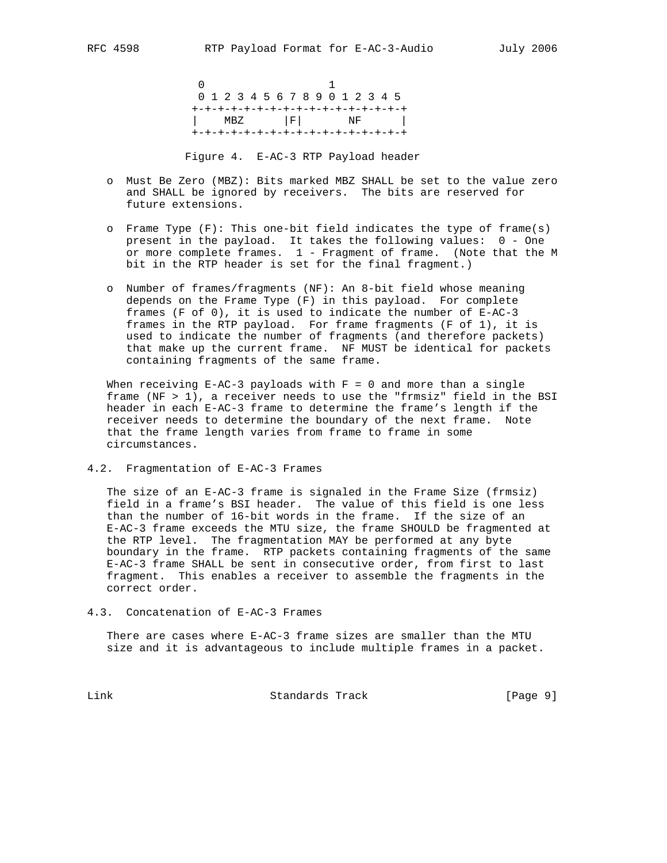$\sim$  1 0 1 2 3 4 5 6 7 8 9 0 1 2 3 4 5 +-+-+-+-+-+-+-+-+-+-+-+-+-+-+-+-+ | MBZ |F| NF | +-+-+-+-+-+-+-+-+-+-+-+-+-+-+-+-+

Figure 4. E-AC-3 RTP Payload header

- o Must Be Zero (MBZ): Bits marked MBZ SHALL be set to the value zero and SHALL be ignored by receivers. The bits are reserved for future extensions.
- o Frame Type (F): This one-bit field indicates the type of frame(s) present in the payload. It takes the following values: 0 - One or more complete frames. 1 - Fragment of frame. (Note that the M bit in the RTP header is set for the final fragment.)
	- o Number of frames/fragments (NF): An 8-bit field whose meaning depends on the Frame Type (F) in this payload. For complete frames (F of 0), it is used to indicate the number of E-AC-3 frames in the RTP payload. For frame fragments (F of 1), it is used to indicate the number of fragments (and therefore packets) that make up the current frame. NF MUST be identical for packets containing fragments of the same frame.

When receiving  $E-AC-3$  payloads with  $F = 0$  and more than a single frame (NF > 1), a receiver needs to use the "frmsiz" field in the BSI header in each E-AC-3 frame to determine the frame's length if the receiver needs to determine the boundary of the next frame. Note that the frame length varies from frame to frame in some circumstances.

4.2. Fragmentation of E-AC-3 Frames

 The size of an E-AC-3 frame is signaled in the Frame Size (frmsiz) field in a frame's BSI header. The value of this field is one less than the number of 16-bit words in the frame. If the size of an E-AC-3 frame exceeds the MTU size, the frame SHOULD be fragmented at the RTP level. The fragmentation MAY be performed at any byte boundary in the frame. RTP packets containing fragments of the same E-AC-3 frame SHALL be sent in consecutive order, from first to last fragment. This enables a receiver to assemble the fragments in the correct order.

4.3. Concatenation of E-AC-3 Frames

 There are cases where E-AC-3 frame sizes are smaller than the MTU size and it is advantageous to include multiple frames in a packet.

Link Standards Track [Page 9]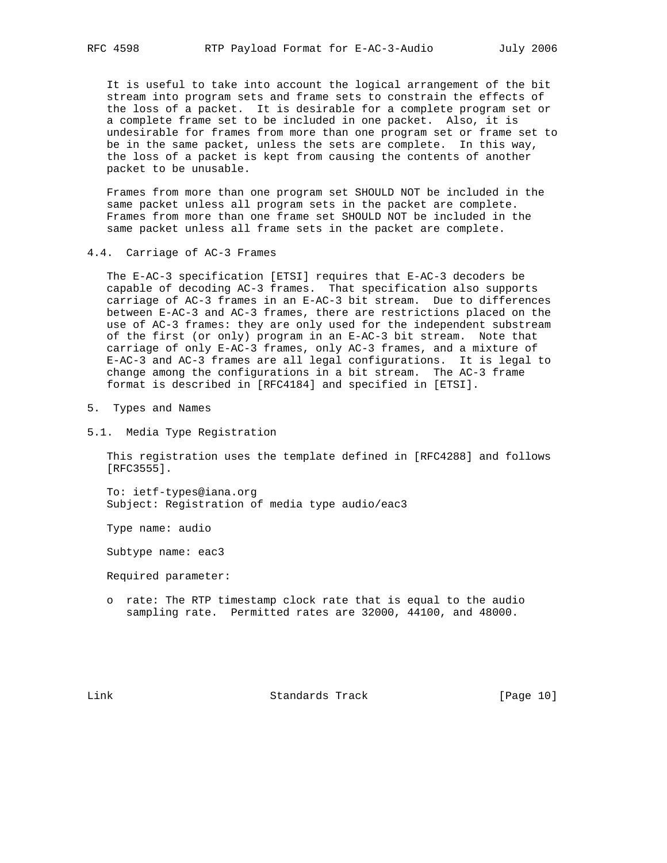It is useful to take into account the logical arrangement of the bit stream into program sets and frame sets to constrain the effects of the loss of a packet. It is desirable for a complete program set or a complete frame set to be included in one packet. Also, it is undesirable for frames from more than one program set or frame set to be in the same packet, unless the sets are complete. In this way, the loss of a packet is kept from causing the contents of another packet to be unusable.

 Frames from more than one program set SHOULD NOT be included in the same packet unless all program sets in the packet are complete. Frames from more than one frame set SHOULD NOT be included in the same packet unless all frame sets in the packet are complete.

4.4. Carriage of AC-3 Frames

 The E-AC-3 specification [ETSI] requires that E-AC-3 decoders be capable of decoding AC-3 frames. That specification also supports carriage of AC-3 frames in an E-AC-3 bit stream. Due to differences between E-AC-3 and AC-3 frames, there are restrictions placed on the use of AC-3 frames: they are only used for the independent substream of the first (or only) program in an E-AC-3 bit stream. Note that carriage of only E-AC-3 frames, only AC-3 frames, and a mixture of E-AC-3 and AC-3 frames are all legal configurations. It is legal to change among the configurations in a bit stream. The AC-3 frame format is described in [RFC4184] and specified in [ETSI].

- 5. Types and Names
- 5.1. Media Type Registration

 This registration uses the template defined in [RFC4288] and follows [RFC3555].

 To: ietf-types@iana.org Subject: Registration of media type audio/eac3

Type name: audio

Subtype name: eac3

Required parameter:

 o rate: The RTP timestamp clock rate that is equal to the audio sampling rate. Permitted rates are 32000, 44100, and 48000.

Link Standards Track [Page 10]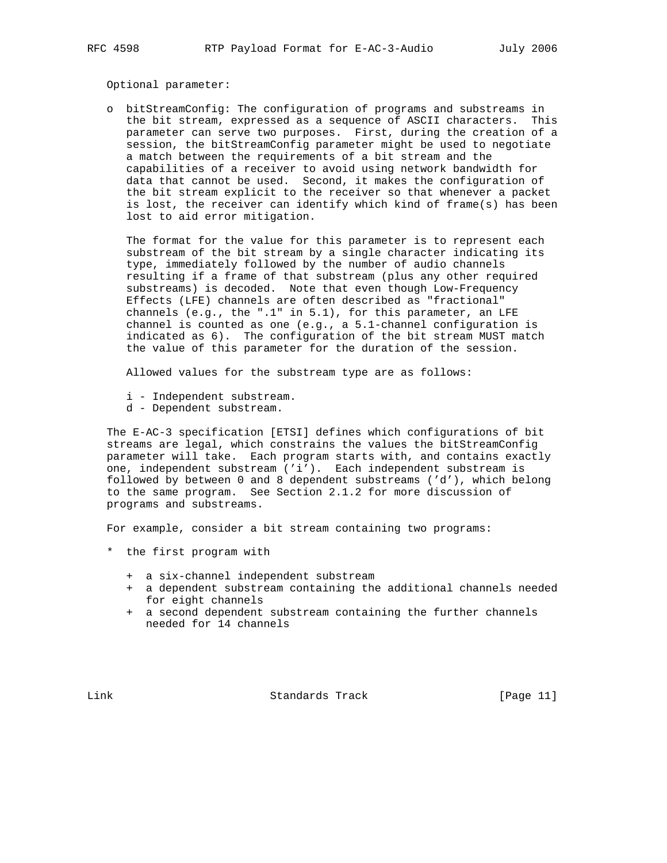Optional parameter:

 o bitStreamConfig: The configuration of programs and substreams in the bit stream, expressed as a sequence of ASCII characters. This parameter can serve two purposes. First, during the creation of a session, the bitStreamConfig parameter might be used to negotiate a match between the requirements of a bit stream and the capabilities of a receiver to avoid using network bandwidth for data that cannot be used. Second, it makes the configuration of the bit stream explicit to the receiver so that whenever a packet is lost, the receiver can identify which kind of frame(s) has been lost to aid error mitigation.

 The format for the value for this parameter is to represent each substream of the bit stream by a single character indicating its type, immediately followed by the number of audio channels resulting if a frame of that substream (plus any other required substreams) is decoded. Note that even though Low-Frequency Effects (LFE) channels are often described as "fractional" channels (e.g., the ".1" in 5.1), for this parameter, an LFE channel is counted as one (e.g., a 5.1-channel configuration is indicated as 6). The configuration of the bit stream MUST match the value of this parameter for the duration of the session.

Allowed values for the substream type are as follows:

- i Independent substream.
- d Dependent substream.

 The E-AC-3 specification [ETSI] defines which configurations of bit streams are legal, which constrains the values the bitStreamConfig parameter will take. Each program starts with, and contains exactly one, independent substream ('i'). Each independent substream is followed by between 0 and 8 dependent substreams ('d'), which belong to the same program. See Section 2.1.2 for more discussion of programs and substreams.

For example, consider a bit stream containing two programs:

- \* the first program with
	- + a six-channel independent substream
	- + a dependent substream containing the additional channels needed for eight channels
	- + a second dependent substream containing the further channels needed for 14 channels

Link Standards Track [Page 11]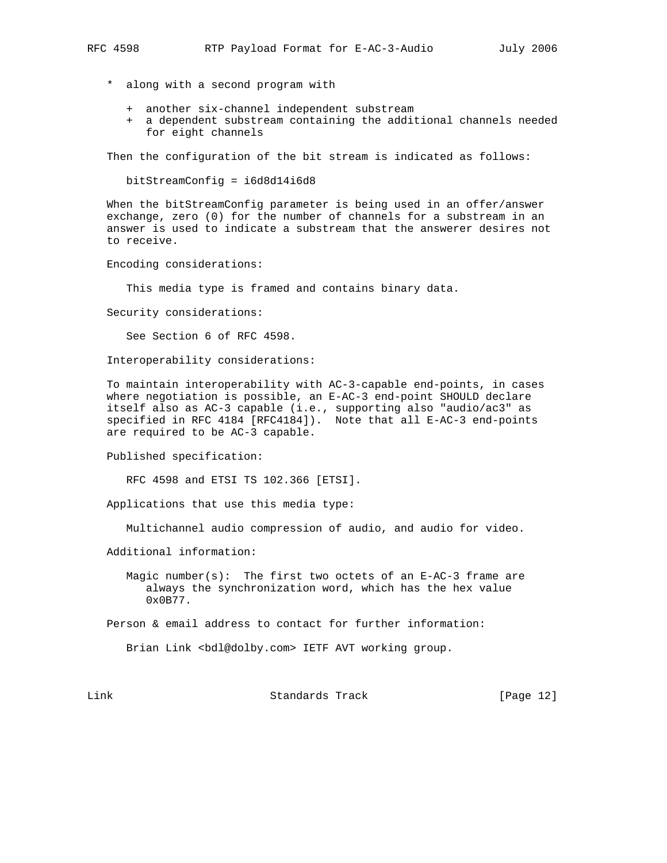- \* along with a second program with
	- + another six-channel independent substream
	- + a dependent substream containing the additional channels needed for eight channels

Then the configuration of the bit stream is indicated as follows:

bitStreamConfig = i6d8d14i6d8

 When the bitStreamConfig parameter is being used in an offer/answer exchange, zero (0) for the number of channels for a substream in an answer is used to indicate a substream that the answerer desires not to receive.

Encoding considerations:

This media type is framed and contains binary data.

Security considerations:

See Section 6 of RFC 4598.

Interoperability considerations:

 To maintain interoperability with AC-3-capable end-points, in cases where negotiation is possible, an E-AC-3 end-point SHOULD declare itself also as AC-3 capable (i.e., supporting also "audio/ac3" as specified in RFC 4184 [RFC4184]). Note that all E-AC-3 end-points are required to be AC-3 capable.

Published specification:

RFC 4598 and ETSI TS 102.366 [ETSI].

Applications that use this media type:

Multichannel audio compression of audio, and audio for video.

Additional information:

Magic number(s): The first two octets of an  $E-AC-3$  frame are always the synchronization word, which has the hex value 0x0B77.

Person & email address to contact for further information:

Brian Link <bdl@dolby.com> IETF AVT working group.

Link Standards Track [Page 12]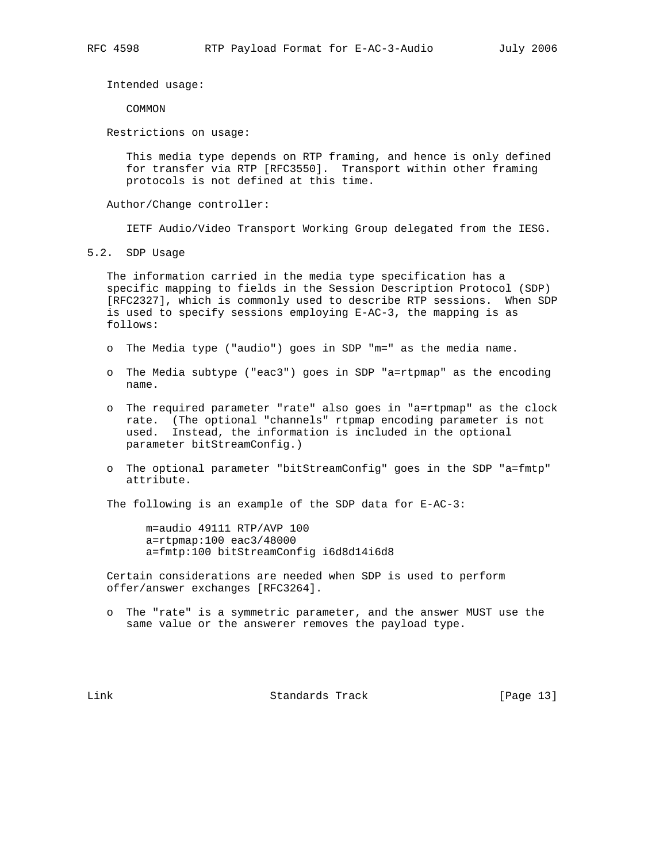Intended usage:

COMMON

Restrictions on usage:

 This media type depends on RTP framing, and hence is only defined for transfer via RTP [RFC3550]. Transport within other framing protocols is not defined at this time.

Author/Change controller:

IETF Audio/Video Transport Working Group delegated from the IESG.

5.2. SDP Usage

 The information carried in the media type specification has a specific mapping to fields in the Session Description Protocol (SDP) [RFC2327], which is commonly used to describe RTP sessions. When SDP is used to specify sessions employing E-AC-3, the mapping is as follows:

- o The Media type ("audio") goes in SDP "m=" as the media name.
- o The Media subtype ("eac3") goes in SDP "a=rtpmap" as the encoding name.
- o The required parameter "rate" also goes in "a=rtpmap" as the clock rate. (The optional "channels" rtpmap encoding parameter is not used. Instead, the information is included in the optional parameter bitStreamConfig.)
- o The optional parameter "bitStreamConfig" goes in the SDP "a=fmtp" attribute.

The following is an example of the SDP data for E-AC-3:

 m=audio 49111 RTP/AVP 100 a=rtpmap:100 eac3/48000 a=fmtp:100 bitStreamConfig i6d8d14i6d8

 Certain considerations are needed when SDP is used to perform offer/answer exchanges [RFC3264].

 o The "rate" is a symmetric parameter, and the answer MUST use the same value or the answerer removes the payload type.

Link Standards Track [Page 13]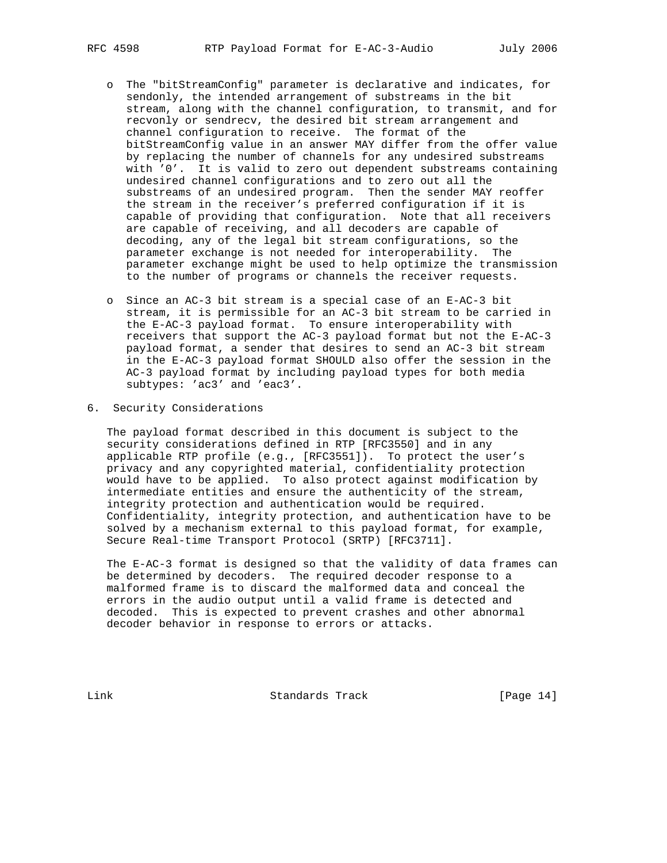- o The "bitStreamConfig" parameter is declarative and indicates, for sendonly, the intended arrangement of substreams in the bit stream, along with the channel configuration, to transmit, and for recvonly or sendrecv, the desired bit stream arrangement and channel configuration to receive. The format of the bitStreamConfig value in an answer MAY differ from the offer value by replacing the number of channels for any undesired substreams with '0'. It is valid to zero out dependent substreams containing undesired channel configurations and to zero out all the substreams of an undesired program. Then the sender MAY reoffer the stream in the receiver's preferred configuration if it is capable of providing that configuration. Note that all receivers are capable of receiving, and all decoders are capable of decoding, any of the legal bit stream configurations, so the parameter exchange is not needed for interoperability. The parameter exchange might be used to help optimize the transmission to the number of programs or channels the receiver requests.
	- o Since an AC-3 bit stream is a special case of an E-AC-3 bit stream, it is permissible for an AC-3 bit stream to be carried in the E-AC-3 payload format. To ensure interoperability with receivers that support the AC-3 payload format but not the E-AC-3 payload format, a sender that desires to send an AC-3 bit stream in the E-AC-3 payload format SHOULD also offer the session in the AC-3 payload format by including payload types for both media subtypes: 'ac3' and 'eac3'.
- 6. Security Considerations

 The payload format described in this document is subject to the security considerations defined in RTP [RFC3550] and in any applicable RTP profile (e.g., [RFC3551]). To protect the user's privacy and any copyrighted material, confidentiality protection would have to be applied. To also protect against modification by intermediate entities and ensure the authenticity of the stream, integrity protection and authentication would be required. Confidentiality, integrity protection, and authentication have to be solved by a mechanism external to this payload format, for example, Secure Real-time Transport Protocol (SRTP) [RFC3711].

 The E-AC-3 format is designed so that the validity of data frames can be determined by decoders. The required decoder response to a malformed frame is to discard the malformed data and conceal the errors in the audio output until a valid frame is detected and decoded. This is expected to prevent crashes and other abnormal decoder behavior in response to errors or attacks.

Link Standards Track [Page 14]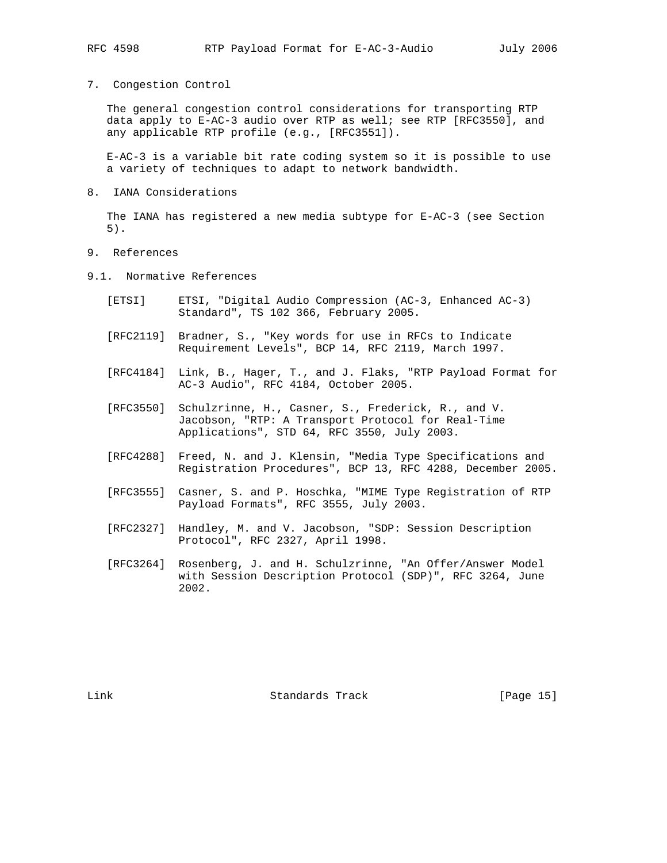7. Congestion Control

 The general congestion control considerations for transporting RTP data apply to E-AC-3 audio over RTP as well; see RTP [RFC3550], and any applicable RTP profile (e.g., [RFC3551]).

 E-AC-3 is a variable bit rate coding system so it is possible to use a variety of techniques to adapt to network bandwidth.

8. IANA Considerations

 The IANA has registered a new media subtype for E-AC-3 (see Section 5).

- 9. References
- 9.1. Normative References
	- [ETSI] ETSI, "Digital Audio Compression (AC-3, Enhanced AC-3) Standard", TS 102 366, February 2005.
	- [RFC2119] Bradner, S., "Key words for use in RFCs to Indicate Requirement Levels", BCP 14, RFC 2119, March 1997.
	- [RFC4184] Link, B., Hager, T., and J. Flaks, "RTP Payload Format for AC-3 Audio", RFC 4184, October 2005.
	- [RFC3550] Schulzrinne, H., Casner, S., Frederick, R., and V. Jacobson, "RTP: A Transport Protocol for Real-Time Applications", STD 64, RFC 3550, July 2003.
	- [RFC4288] Freed, N. and J. Klensin, "Media Type Specifications and Registration Procedures", BCP 13, RFC 4288, December 2005.
	- [RFC3555] Casner, S. and P. Hoschka, "MIME Type Registration of RTP Payload Formats", RFC 3555, July 2003.
	- [RFC2327] Handley, M. and V. Jacobson, "SDP: Session Description Protocol", RFC 2327, April 1998.
	- [RFC3264] Rosenberg, J. and H. Schulzrinne, "An Offer/Answer Model with Session Description Protocol (SDP)", RFC 3264, June 2002.

Link Standards Track [Page 15]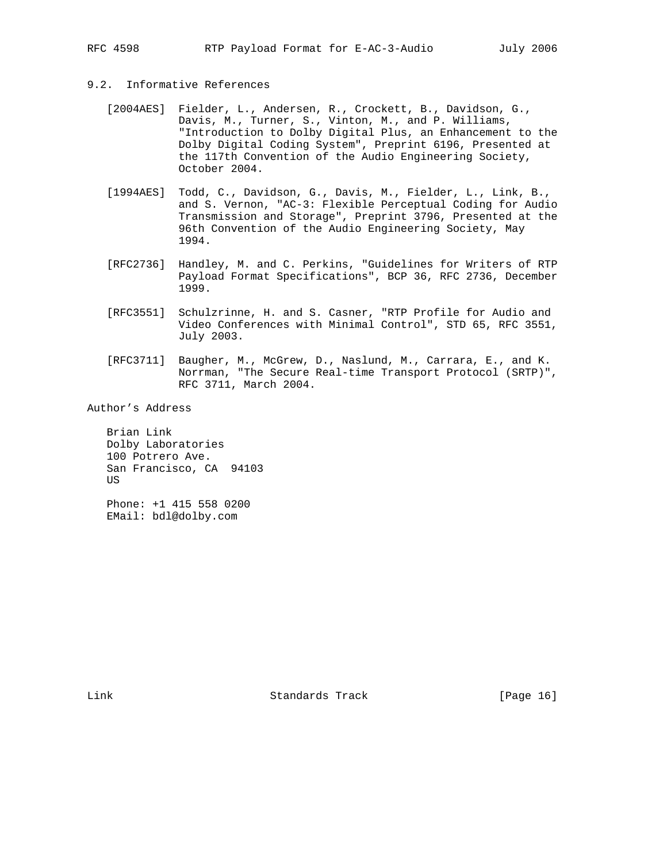## 9.2. Informative References

- [2004AES] Fielder, L., Andersen, R., Crockett, B., Davidson, G., Davis, M., Turner, S., Vinton, M., and P. Williams, "Introduction to Dolby Digital Plus, an Enhancement to the Dolby Digital Coding System", Preprint 6196, Presented at the 117th Convention of the Audio Engineering Society, October 2004.
- [1994AES] Todd, C., Davidson, G., Davis, M., Fielder, L., Link, B., and S. Vernon, "AC-3: Flexible Perceptual Coding for Audio Transmission and Storage", Preprint 3796, Presented at the 96th Convention of the Audio Engineering Society, May 1994.
- [RFC2736] Handley, M. and C. Perkins, "Guidelines for Writers of RTP Payload Format Specifications", BCP 36, RFC 2736, December 1999.
- [RFC3551] Schulzrinne, H. and S. Casner, "RTP Profile for Audio and Video Conferences with Minimal Control", STD 65, RFC 3551, July 2003.
- [RFC3711] Baugher, M., McGrew, D., Naslund, M., Carrara, E., and K. Norrman, "The Secure Real-time Transport Protocol (SRTP)", RFC 3711, March 2004.

Author's Address

 Brian Link Dolby Laboratories 100 Potrero Ave. San Francisco, CA 94103 US

 Phone: +1 415 558 0200 EMail: bdl@dolby.com

Link Standards Track [Page 16]